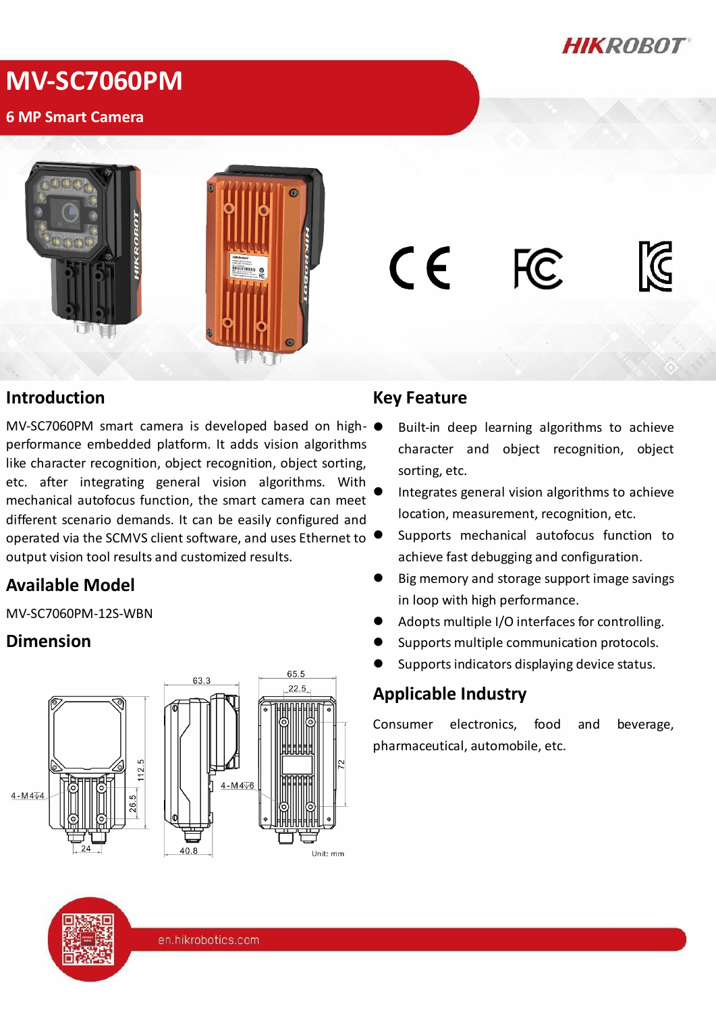

# **MV-SC7060PM**

#### **6 MP Smart Camera**



#### **Introduction**

MV-SC7060PM smart camera is developed based on highperformance embedded platform. It adds vision algorithms like character recognition, object recognition, object sorting, etc. after integrating general vision algorithms. With mechanical autofocus function, the smart camera can meet different scenario demands. It can be easily configured and operated via the SCMVS client software, and uses Ethernet to output vision tool results and customized results.

## **Available Model**

MV-SC7060PM-12S-WBN

## **Dimension**



#### **Key Feature**

C E

- Built-in deep learning algorithms to achieve character and object recognition, object sorting, etc.
- Integrates general vision algorithms to achieve location, measurement, recognition, etc.
- Supports mechanical autofocus function to achieve fast debugging and configuration.
- Big memory and storage support image savings in loop with high performance.
- Adopts multiple I/O interfaces for controlling.
- Supports multiple communication protocols.
- Supports indicators displaying device status.

## **Applicable Industry**

Consumer electronics, food and beverage, pharmaceutical, automobile, etc.



en.hikrobotics.com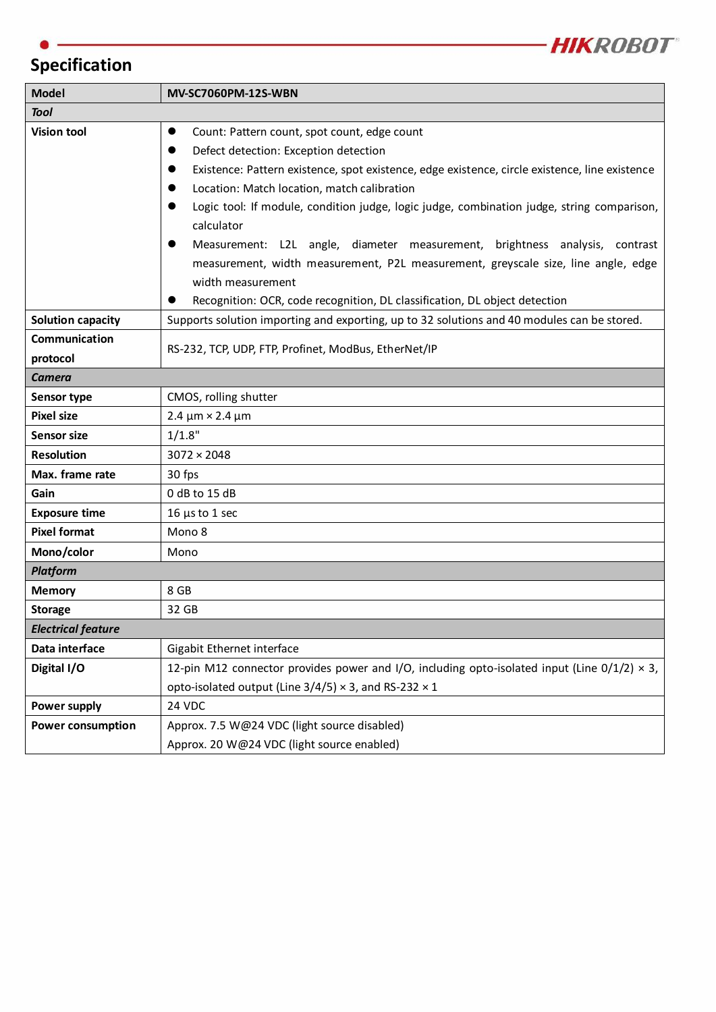

## **Specification**

| <b>Model</b>              | <b>MV-SC7060PM-12S-WBN</b>                                                                             |  |  |  |
|---------------------------|--------------------------------------------------------------------------------------------------------|--|--|--|
| <b>Tool</b>               |                                                                                                        |  |  |  |
| <b>Vision tool</b>        | Count: Pattern count, spot count, edge count<br>$\bullet$                                              |  |  |  |
|                           | Defect detection: Exception detection                                                                  |  |  |  |
|                           | Existence: Pattern existence, spot existence, edge existence, circle existence, line existence         |  |  |  |
|                           | Location: Match location, match calibration                                                            |  |  |  |
|                           | Logic tool: If module, condition judge, logic judge, combination judge, string comparison,             |  |  |  |
|                           | calculator                                                                                             |  |  |  |
|                           | Measurement: L2L angle, diameter measurement, brightness analysis, contrast                            |  |  |  |
|                           | measurement, width measurement, P2L measurement, greyscale size, line angle, edge                      |  |  |  |
|                           | width measurement                                                                                      |  |  |  |
|                           | Recognition: OCR, code recognition, DL classification, DL object detection                             |  |  |  |
| <b>Solution capacity</b>  | Supports solution importing and exporting, up to 32 solutions and 40 modules can be stored.            |  |  |  |
| Communication             | RS-232, TCP, UDP, FTP, Profinet, ModBus, EtherNet/IP                                                   |  |  |  |
| protocol                  |                                                                                                        |  |  |  |
| Camera                    |                                                                                                        |  |  |  |
| <b>Sensor type</b>        | CMOS, rolling shutter                                                                                  |  |  |  |
| <b>Pixel size</b>         | $2.4 \mu m \times 2.4 \mu m$                                                                           |  |  |  |
| <b>Sensor size</b>        | 1/1.8"                                                                                                 |  |  |  |
| <b>Resolution</b>         | $3072 \times 2048$                                                                                     |  |  |  |
| Max. frame rate           | 30 fps                                                                                                 |  |  |  |
| Gain                      | 0 dB to 15 dB                                                                                          |  |  |  |
| <b>Exposure time</b>      | $16 \mu s$ to 1 sec                                                                                    |  |  |  |
| <b>Pixel format</b>       | Mono 8                                                                                                 |  |  |  |
| Mono/color                | Mono                                                                                                   |  |  |  |
| <b>Platform</b>           |                                                                                                        |  |  |  |
| <b>Memory</b>             | 8 GB                                                                                                   |  |  |  |
| <b>Storage</b>            | 32 GB                                                                                                  |  |  |  |
| <b>Electrical feature</b> |                                                                                                        |  |  |  |
| Data interface            | Gigabit Ethernet interface                                                                             |  |  |  |
| Digital I/O               | 12-pin M12 connector provides power and I/O, including opto-isolated input (Line $0/1/2$ ) $\times$ 3, |  |  |  |
|                           | opto-isolated output (Line $3/4/5$ ) × 3, and RS-232 × 1                                               |  |  |  |
| Power supply              | 24 VDC                                                                                                 |  |  |  |
| <b>Power consumption</b>  | Approx. 7.5 W@24 VDC (light source disabled)                                                           |  |  |  |
|                           | Approx. 20 W@24 VDC (light source enabled)                                                             |  |  |  |

the control of the control of the control of the control of the control of